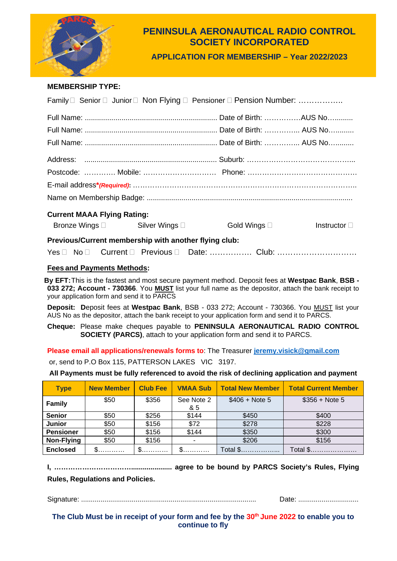

# **PENINSULA AERONAUTICAL RADIO CONTROL SOCIETY INCORPORATED**

**APPLICATION FOR MEMBERSHIP – Year 2022/2023**

## **MEMBERSHIP TYPE:**

| Family □ Senior □ Junior □ Non Flying □ Pensioner □ Pension Number: |  |  |                      |                      |  |  |  |
|---------------------------------------------------------------------|--|--|----------------------|----------------------|--|--|--|
|                                                                     |  |  |                      |                      |  |  |  |
|                                                                     |  |  |                      |                      |  |  |  |
|                                                                     |  |  |                      |                      |  |  |  |
|                                                                     |  |  |                      |                      |  |  |  |
|                                                                     |  |  |                      |                      |  |  |  |
|                                                                     |  |  |                      |                      |  |  |  |
|                                                                     |  |  |                      |                      |  |  |  |
| <b>Current MAAA Flying Rating:</b>                                  |  |  |                      |                      |  |  |  |
| Bronze Wings □ Silver Wings □                                       |  |  | Gold Wings $\square$ | Instructor $\square$ |  |  |  |
| Previous/Current membership with another flying club:               |  |  |                      |                      |  |  |  |
|                                                                     |  |  |                      |                      |  |  |  |

## **Fees and Payments Methods:**

**By EFT:**This is the fastest and most secure payment method. Deposit fees at **Westpac Bank**, **BSB - 033 272; Account - 730366**. You **MUST** list your full name as the depositor, attach the bank receipt to your application form and send it to PARCS

**Deposit: D**eposit fees at **Westpac Bank**, BSB - 033 272; Account - 730366. You MUST list your AUS No as the depositor, attach the bank receipt to your application form and send it to PARCS.

**Cheque:** Please make cheques payable to **PENINSULA AERONAUTICAL RADIO CONTROL SOCIETY (PARCS)**, attach to your application form and send it to PARCS.

**Please email all applications/renewals forms to**: The Treasurer **[jeremy.visick@gmail.com](mailto:jeremy.visick@gmail.com)**

or, send to P.O Box 115, PATTERSON LAKES VIC 3197.

**All Payments must be fully referenced to avoid the risk of declining application and payment**

| <b>Type</b>      | <b>New Member</b> | <b>Club Fee</b> | <b>VMAA Sub</b>   | <b>Total New Member</b> | <b>Total Current Member</b> |
|------------------|-------------------|-----------------|-------------------|-------------------------|-----------------------------|
| <b>Family</b>    | \$50              | \$356           | See Note 2<br>& 5 | $$406 + Note 5$         | $$356 + Note 5$             |
| <b>Senior</b>    | \$50              | \$256           | \$144             | \$450                   | \$400                       |
| <b>Junior</b>    | \$50              | \$156           | \$72              | \$278                   | \$228                       |
| <b>Pensioner</b> | \$50              | \$156           | \$144             | \$350                   | \$300                       |
| Non-Flying       | \$50              | \$156           |                   | \$206                   | \$156                       |
| <b>Enclosed</b>  | $\mathbb{S}$      | $\mathsf{\$}$   | $\mathbb{S}$      | Total \$                | Total \$                    |

**I, ……………………………..................... agree to be bound by PARCS Society's Rules, Flying** 

**Rules, Regulations and Policies.** 

Signature: .......................................................................................... Date: ...............................

The Club Must be in receipt of your form and fee by the 30<sup>th</sup> June 2022 to enable you to **continue to fly**